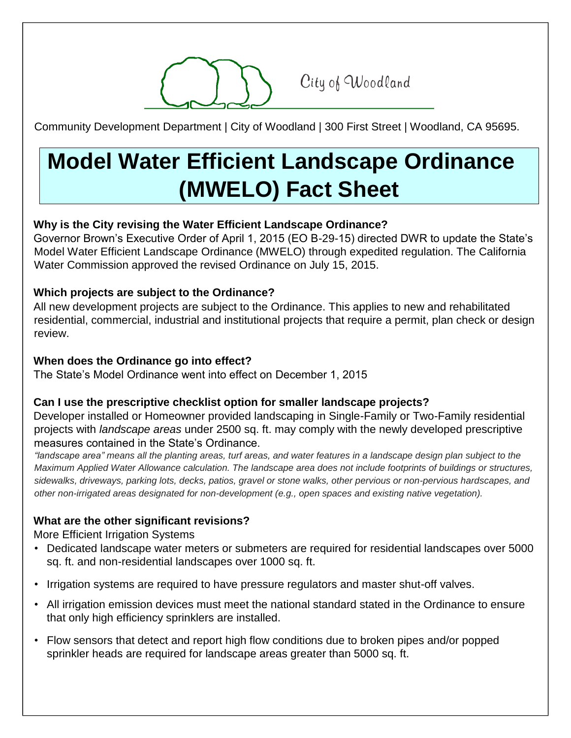City of Woodland

Community Development Department | City of Woodland | 300 First Street | Woodland, CA 95695.

# **Model Water Efficient Landscape Ordinance (MWELO) Fact Sheet**

# **Why is the City revising the Water Efficient Landscape Ordinance?**

Governor Brown's Executive Order of April 1, 2015 (EO B-29-15) directed DWR to update the State's Model Water Efficient Landscape Ordinance (MWELO) through expedited regulation. The California Water Commission approved the revised Ordinance on July 15, 2015.

# **Which projects are subject to the Ordinance?**

All new development projects are subject to the Ordinance. This applies to new and rehabilitated residential, commercial, industrial and institutional projects that require a permit, plan check or design review.

# **When does the Ordinance go into effect?**

The State's Model Ordinance went into effect on December 1, 2015

# **Can I use the prescriptive checklist option for smaller landscape projects?**

Developer installed or Homeowner provided landscaping in Single-Family or Two-Family residential projects with *landscape areas* under 2500 sq. ft. may comply with the newly developed prescriptive measures contained in the State's Ordinance.

*"landscape area" means all the planting areas, turf areas, and water features in a landscape design plan subject to the Maximum Applied Water Allowance calculation. The landscape area does not include footprints of buildings or structures, sidewalks, driveways, parking lots, decks, patios, gravel or stone walks, other pervious or non-pervious hardscapes, and other non-irrigated areas designated for non-development (e.g., open spaces and existing native vegetation).* 

# **What are the other significant revisions?**

More Efficient Irrigation Systems

- Dedicated landscape water meters or submeters are required for residential landscapes over 5000 sq. ft. and non-residential landscapes over 1000 sq. ft.
- Irrigation systems are required to have pressure regulators and master shut-off valves.
- All irrigation emission devices must meet the national standard stated in the Ordinance to ensure that only high efficiency sprinklers are installed.
- Flow sensors that detect and report high flow conditions due to broken pipes and/or popped sprinkler heads are required for landscape areas greater than 5000 sq. ft.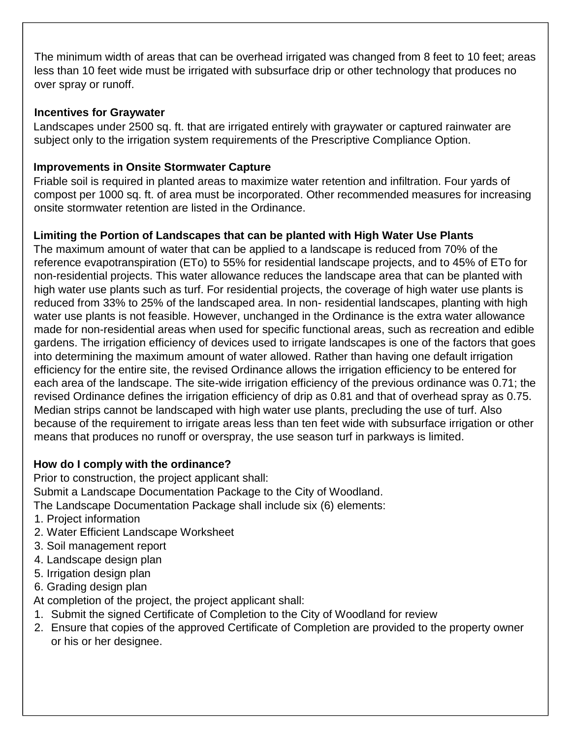The minimum width of areas that can be overhead irrigated was changed from 8 feet to 10 feet; areas less than 10 feet wide must be irrigated with subsurface drip or other technology that produces no over spray or runoff.

#### **Incentives for Graywater**

Landscapes under 2500 sq. ft. that are irrigated entirely with graywater or captured rainwater are subject only to the irrigation system requirements of the Prescriptive Compliance Option.

# **Improvements in Onsite Stormwater Capture**

Friable soil is required in planted areas to maximize water retention and infiltration. Four yards of compost per 1000 sq. ft. of area must be incorporated. Other recommended measures for increasing onsite stormwater retention are listed in the Ordinance.

# **Limiting the Portion of Landscapes that can be planted with High Water Use Plants**

The maximum amount of water that can be applied to a landscape is reduced from 70% of the reference evapotranspiration (ETo) to 55% for residential landscape projects, and to 45% of ETo for non-residential projects. This water allowance reduces the landscape area that can be planted with high water use plants such as turf. For residential projects, the coverage of high water use plants is reduced from 33% to 25% of the landscaped area. In non- residential landscapes, planting with high water use plants is not feasible. However, unchanged in the Ordinance is the extra water allowance made for non-residential areas when used for specific functional areas, such as recreation and edible gardens. The irrigation efficiency of devices used to irrigate landscapes is one of the factors that goes into determining the maximum amount of water allowed. Rather than having one default irrigation efficiency for the entire site, the revised Ordinance allows the irrigation efficiency to be entered for each area of the landscape. The site-wide irrigation efficiency of the previous ordinance was 0.71; the revised Ordinance defines the irrigation efficiency of drip as 0.81 and that of overhead spray as 0.75. Median strips cannot be landscaped with high water use plants, precluding the use of turf. Also because of the requirement to irrigate areas less than ten feet wide with subsurface irrigation or other means that produces no runoff or overspray, the use season turf in parkways is limited.

# **How do I comply with the ordinance?**

Prior to construction, the project applicant shall: Submit a Landscape Documentation Package to the City of Woodland.

The Landscape Documentation Package shall include six (6) elements:

- 1. Project information
- 2. Water Efficient Landscape Worksheet
- 3. Soil management report
- 4. Landscape design plan
- 5. Irrigation design plan
- 6. Grading design plan

At completion of the project, the project applicant shall:

- 1. Submit the signed Certificate of Completion to the City of Woodland for review
- 2. Ensure that copies of the approved Certificate of Completion are provided to the property owner or his or her designee.